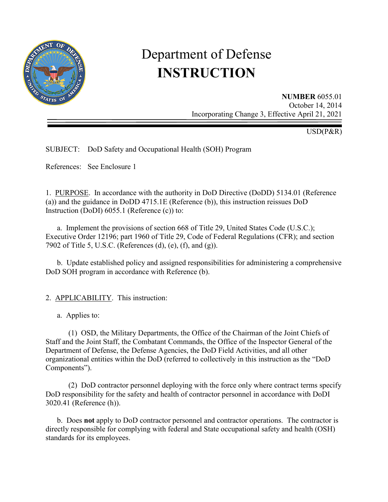

# Department of Defense **INSTRUCTION**

**NUMBER** 6055.01 October 14, 2014 Incorporating Change 3, Effective April 21, 2021

USD(P&R)

SUBJECT: DoD Safety and Occupational Health (SOH) Program

References: See Enclosure 1

1. PURPOSE. In accordance with the authority in DoD Directive (DoDD) 5134.01 (Reference (a)) and the guidance in DoDD 4715.1E (Reference (b)), this instruction reissues DoD Instruction (DoDI) 6055.1 (Reference (c)) to:

 a. Implement the provisions of section 668 of Title 29, United States Code (U.S.C.); Executive Order 12196; part 1960 of Title 29, Code of Federal Regulations (CFR); and section 7902 of Title 5, U.S.C. (References (d), (e), (f), and (g)).

 b. Update established policy and assigned responsibilities for administering a comprehensive DoD SOH program in accordance with Reference (b).

2. APPLICABILITY. This instruction:

a. Applies to:

 (1) OSD, the Military Departments, the Office of the Chairman of the Joint Chiefs of Staff and the Joint Staff, the Combatant Commands, the Office of the Inspector General of the Department of Defense, the Defense Agencies, the DoD Field Activities, and all other organizational entities within the DoD (referred to collectively in this instruction as the "DoD Components").

 (2) DoD contractor personnel deploying with the force only where contract terms specify DoD responsibility for the safety and health of contractor personnel in accordance with DoDI 3020.41 (Reference (h)).

 b. Does **not** apply to DoD contractor personnel and contractor operations. The contractor is directly responsible for complying with federal and State occupational safety and health (OSH) standards for its employees.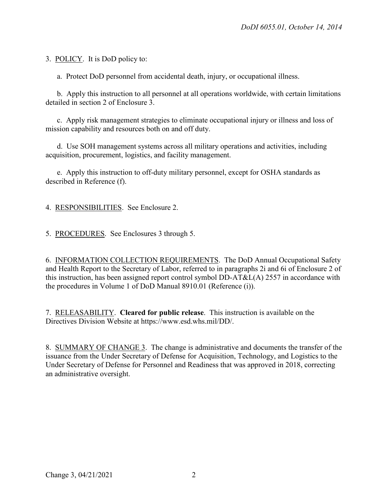3. POLICY. It is DoD policy to:

a. Protect DoD personnel from accidental death, injury, or occupational illness.

 b. Apply this instruction to all personnel at all operations worldwide, with certain limitations detailed in section 2 of Enclosure 3.

 c. Apply risk management strategies to eliminate occupational injury or illness and loss of mission capability and resources both on and off duty.

 d. Use SOH management systems across all military operations and activities, including acquisition, procurement, logistics, and facility management.

 e. Apply this instruction to off-duty military personnel, except for OSHA standards as described in Reference (f).

4. RESPONSIBILITIES. See Enclosure 2.

5. PROCEDURES. See Enclosures 3 through 5.

6. INFORMATION COLLECTION REQUIREMENTS. The DoD Annual Occupational Safety and Health Report to the Secretary of Labor, referred to in paragraphs 2i and 6i of Enclosure 2 of this instruction, has been assigned report control symbol DD-AT&L(A) 2557 in accordance with the procedures in Volume 1 of DoD Manual 8910.01 (Reference (i)).

7. RELEASABILITY. **Cleared for public release**. This instruction is available on the Directives Division Website at https://www.esd.whs.mil/DD/.

8. SUMMARY OF CHANGE 3. The change is administrative and documents the transfer of the issuance from the Under Secretary of Defense for Acquisition, Technology, and Logistics to the Under Secretary of Defense for Personnel and Readiness that was approved in 2018, correcting an administrative oversight.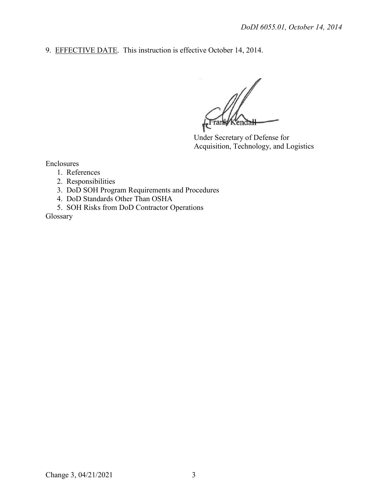9. EFFECTIVE DATE. This instruction is effective October 14, 2014.

KendaH Frank

Under Secretary of Defense for Acquisition, Technology, and Logistics

Enclosures

- 1. References
- 2. Responsibilities
- 3. DoD SOH Program Requirements and Procedures
- 4. DoD Standards Other Than OSHA
- 5. SOH Risks from DoD Contractor Operations

Glossary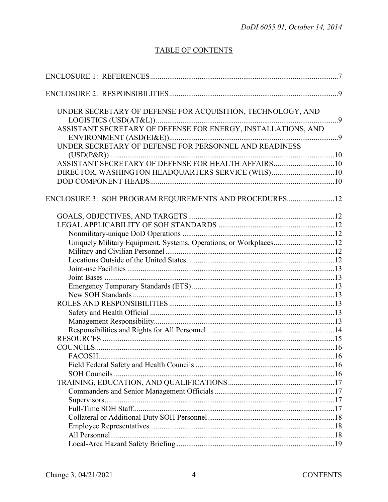# **TABLE OF CONTENTS**

| UNDER SECRETARY OF DEFENSE FOR ACQUISITION, TECHNOLOGY, AND       |  |
|-------------------------------------------------------------------|--|
|                                                                   |  |
| ASSISTANT SECRETARY OF DEFENSE FOR ENERGY, INSTALLATIONS, AND     |  |
|                                                                   |  |
| UNDER SECRETARY OF DEFENSE FOR PERSONNEL AND READINESS            |  |
|                                                                   |  |
| ASSISTANT SECRETARY OF DEFENSE FOR HEALTH AFFAIRS10               |  |
| DIRECTOR, WASHINGTON HEADQUARTERS SERVICE (WHS)10                 |  |
|                                                                   |  |
|                                                                   |  |
| ENCLOSURE 3: SOH PROGRAM REQUIREMENTS AND PROCEDURES12            |  |
|                                                                   |  |
|                                                                   |  |
|                                                                   |  |
| Uniquely Military Equipment, Systems, Operations, or Workplaces12 |  |
|                                                                   |  |
|                                                                   |  |
|                                                                   |  |
|                                                                   |  |
|                                                                   |  |
|                                                                   |  |
|                                                                   |  |
|                                                                   |  |
|                                                                   |  |
|                                                                   |  |
|                                                                   |  |
|                                                                   |  |
|                                                                   |  |
|                                                                   |  |
|                                                                   |  |
|                                                                   |  |
|                                                                   |  |
|                                                                   |  |
|                                                                   |  |
|                                                                   |  |
|                                                                   |  |
|                                                                   |  |
|                                                                   |  |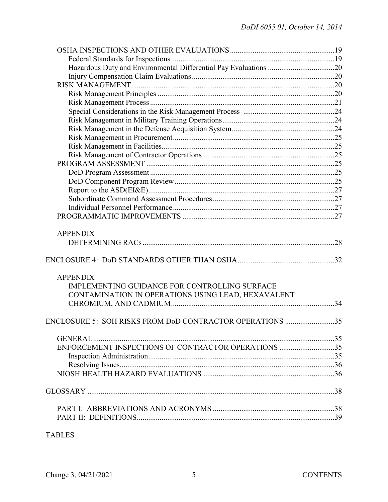| <b>APPENDIX</b>                                                                                                        |  |
|------------------------------------------------------------------------------------------------------------------------|--|
|                                                                                                                        |  |
| <b>APPENDIX</b><br>IMPLEMENTING GUIDANCE FOR CONTROLLING SURFACE<br>CONTAMINATION IN OPERATIONS USING LEAD, HEXAVALENT |  |
| ENCLOSURE 5: SOH RISKS FROM DoD CONTRACTOR OPERATIONS 35                                                               |  |
|                                                                                                                        |  |
| ENFORCEMENT INSPECTIONS OF CONTRACTOR OPERATIONS 35                                                                    |  |
|                                                                                                                        |  |
|                                                                                                                        |  |
|                                                                                                                        |  |
|                                                                                                                        |  |
|                                                                                                                        |  |
|                                                                                                                        |  |
|                                                                                                                        |  |
|                                                                                                                        |  |

# TABLES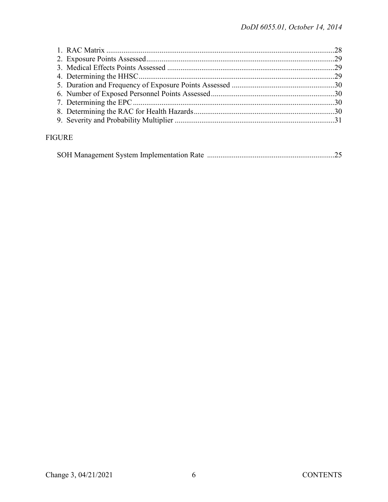# **FIGURE**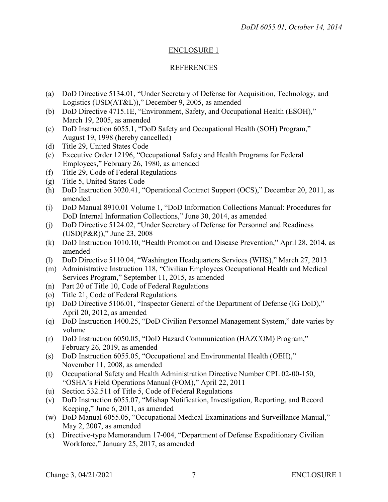# ENCLOSURE 1

# REFERENCES

- (a) DoD Directive 5134.01, "Under Secretary of Defense for Acquisition, Technology, and Logistics (USD(AT&L))," December 9, 2005, as amended
- (b) DoD Directive 4715.1E, "Environment, Safety, and Occupational Health (ESOH)," March 19, 2005, as amended
- (c) DoD Instruction 6055.1, "DoD Safety and Occupational Health (SOH) Program," August 19, 1998 (hereby cancelled)
- (d) Title 29, United States Code
- (e) Executive Order 12196, "Occupational Safety and Health Programs for Federal Employees," February 26, 1980, as amended
- (f) Title 29, Code of Federal Regulations
- (g) Title 5, United States Code
- (h) DoD Instruction 3020.41, "Operational Contract Support (OCS)," December 20, 2011, as amended
- (i) DoD Manual 8910.01 Volume 1, "DoD Information Collections Manual: Procedures for DoD Internal Information Collections," June 30, 2014, as amended
- (j) DoD Directive 5124.02, "Under Secretary of Defense for Personnel and Readiness (USD(P&R))," June 23, 2008
- (k) DoD Instruction 1010.10, "Health Promotion and Disease Prevention," April 28, 2014, as amended
- (l) DoD Directive 5110.04, "Washington Headquarters Services (WHS)," March 27, 2013
- (m) Administrative Instruction 118, "Civilian Employees Occupational Health and Medical Services Program," September 11, 2015, as amended
- (n) Part 20 of Title 10, Code of Federal Regulations
- (o) Title 21, Code of Federal Regulations
- (p) DoD Directive 5106.01, "Inspector General of the Department of Defense (IG DoD)," April 20, 2012, as amended
- (q) DoD Instruction 1400.25, "DoD Civilian Personnel Management System," date varies by volume
- (r) DoD Instruction 6050.05, "DoD Hazard Communication (HAZCOM) Program," February 26, 2019, as amended
- (s) DoD Instruction 6055.05, "Occupational and Environmental Health (OEH)," November 11, 2008, as amended
- (t) Occupational Safety and Health Administration Directive Number CPL 02-00-150, "OSHA's Field Operations Manual (FOM)," April 22, 2011
- (u) Section 532.511 of Title 5, Code of Federal Regulations
- (v) DoD Instruction 6055.07, "Mishap Notification, Investigation, Reporting, and Record Keeping," June 6, 2011, as amended
- (w) DoD Manual 6055.05, "Occupational Medical Examinations and Surveillance Manual," May 2, 2007, as amended
- (x) Directive-type Memorandum 17-004, "Department of Defense Expeditionary Civilian Workforce," January 25, 2017, as amended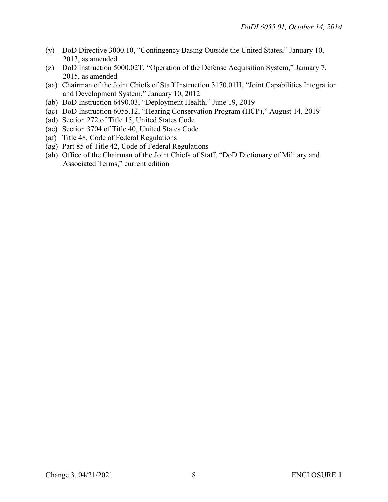- (y) DoD Directive 3000.10, "Contingency Basing Outside the United States," January 10, 2013, as amended
- (z) DoD Instruction 5000.02T, "Operation of the Defense Acquisition System," January 7, 2015, as amended
- (aa) Chairman of the Joint Chiefs of Staff Instruction 3170.01H, "Joint Capabilities Integration and Development System," January 10, 2012
- (ab) DoD Instruction 6490.03, "Deployment Health," June 19, 2019
- (ac) DoD Instruction 6055.12, "Hearing Conservation Program (HCP)," August 14, 2019
- (ad) Section 272 of Title 15, United States Code
- (ae) Section 3704 of Title 40, United States Code
- (af) Title 48, Code of Federal Regulations
- (ag) Part 85 of Title 42, Code of Federal Regulations
- (ah) Office of the Chairman of the Joint Chiefs of Staff, "DoD Dictionary of Military and Associated Terms," current edition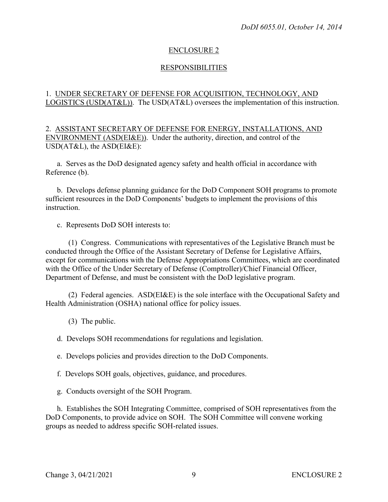#### ENCLOSURE 2

#### RESPONSIBILITIES

#### 1. UNDER SECRETARY OF DEFENSE FOR ACQUISITION, TECHNOLOGY, AND LOGISTICS (USD(AT&L)). The USD(AT&L) oversees the implementation of this instruction.

2. ASSISTANT SECRETARY OF DEFENSE FOR ENERGY, INSTALLATIONS, AND ENVIRONMENT (ASD(EI&E)). Under the authority, direction, and control of the USD(AT&L), the ASD(EI&E):

a. Serves as the DoD designated agency safety and health official in accordance with Reference (b).

b. Develops defense planning guidance for the DoD Component SOH programs to promote sufficient resources in the DoD Components' budgets to implement the provisions of this instruction.

c. Represents DoD SOH interests to:

(1) Congress. Communications with representatives of the Legislative Branch must be conducted through the Office of the Assistant Secretary of Defense for Legislative Affairs, except for communications with the Defense Appropriations Committees, which are coordinated with the Office of the Under Secretary of Defense (Comptroller)/Chief Financial Officer, Department of Defense, and must be consistent with the DoD legislative program.

(2) Federal agencies. ASD(EI&E) is the sole interface with the Occupational Safety and Health Administration (OSHA) national office for policy issues.

(3) The public.

d. Develops SOH recommendations for regulations and legislation.

e. Develops policies and provides direction to the DoD Components.

f. Develops SOH goals, objectives, guidance, and procedures.

g. Conducts oversight of the SOH Program.

h. Establishes the SOH Integrating Committee, comprised of SOH representatives from the DoD Components, to provide advice on SOH. The SOH Committee will convene working groups as needed to address specific SOH-related issues.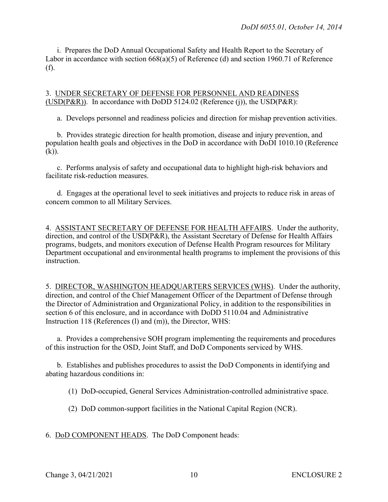i. Prepares the DoD Annual Occupational Safety and Health Report to the Secretary of Labor in accordance with section 668(a)(5) of Reference (d) and section 1960.71 of Reference (f).

#### 3. UNDER SECRETARY OF DEFENSE FOR PERSONNEL AND READINESS (USD( $P\&R$ )). In accordance with DoDD 5124.02 (Reference (j)), the USD( $P\&R$ ):

a. Develops personnel and readiness policies and direction for mishap prevention activities.

b. Provides strategic direction for health promotion, disease and injury prevention, and population health goals and objectives in the DoD in accordance with DoDI 1010.10 (Reference  $(k)$ ).

c. Performs analysis of safety and occupational data to highlight high-risk behaviors and facilitate risk-reduction measures.

d. Engages at the operational level to seek initiatives and projects to reduce risk in areas of concern common to all Military Services.

4. ASSISTANT SECRETARY OF DEFENSE FOR HEALTH AFFAIRS. Under the authority, direction, and control of the USD(P&R), the Assistant Secretary of Defense for Health Affairs programs, budgets, and monitors execution of Defense Health Program resources for Military Department occupational and environmental health programs to implement the provisions of this instruction.

5. DIRECTOR, WASHINGTON HEADQUARTERS SERVICES (WHS). Under the authority, direction, and control of the Chief Management Officer of the Department of Defense through the Director of Administration and Organizational Policy, in addition to the responsibilities in section 6 of this enclosure, and in accordance with DoDD 5110.04 and Administrative Instruction 118 (References (l) and (m)), the Director, WHS:

a. Provides a comprehensive SOH program implementing the requirements and procedures of this instruction for the OSD, Joint Staff, and DoD Components serviced by WHS.

b. Establishes and publishes procedures to assist the DoD Components in identifying and abating hazardous conditions in:

(1) DoD-occupied, General Services Administration-controlled administrative space.

(2) DoD common-support facilities in the National Capital Region (NCR).

6. DoD COMPONENT HEADS. The DoD Component heads: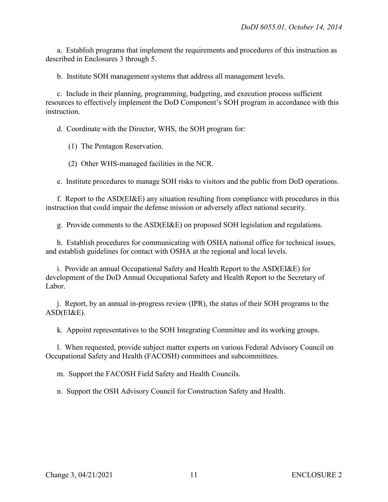a. Establish programs that implement the requirements and procedures of this instruction as described in Enclosures 3 through 5.

b. Institute SOH management systems that address all management levels.

c. Include in their planning, programming, budgeting, and execution process sufficient resources to effectively implement the DoD Component's SOH program in accordance with this instruction.

d. Coordinate with the Director, WHS, the SOH program for:

(1) The Pentagon Reservation.

(2) Other WHS-managed facilities in the NCR.

e. Institute procedures to manage SOH risks to visitors and the public from DoD operations.

f. Report to the ASD(EI&E) any situation resulting from compliance with procedures in this instruction that could impair the defense mission or adversely affect national security.

g. Provide comments to the ASD(EI&E) on proposed SOH legislation and regulations.

h. Establish procedures for communicating with OSHA national office for technical issues, and establish guidelines for contact with OSHA at the regional and local levels.

i. Provide an annual Occupational Safety and Health Report to the ASD(EI&E) for development of the DoD Annual Occupational Safety and Health Report to the Secretary of Labor.

j. Report, by an annual in-progress review (IPR), the status of their SOH programs to the ASD(EI&E).

k. Appoint representatives to the SOH Integrating Committee and its working groups.

l. When requested, provide subject matter experts on various Federal Advisory Council on Occupational Safety and Health (FACOSH) committees and subcommittees.

m. Support the FACOSH Field Safety and Health Councils.

n. Support the OSH Advisory Council for Construction Safety and Health.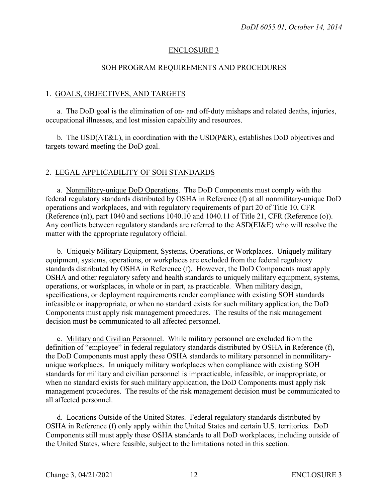#### ENCLOSURE 3

#### SOH PROGRAM REQUIREMENTS AND PROCEDURES

#### 1. GOALS, OBJECTIVES, AND TARGETS

a. The DoD goal is the elimination of on- and off-duty mishaps and related deaths, injuries, occupational illnesses, and lost mission capability and resources.

b. The USD( $AT&L$ ), in coordination with the USD( $P&R$ ), establishes DoD objectives and targets toward meeting the DoD goal.

#### 2. LEGAL APPLICABILITY OF SOH STANDARDS

a. Nonmilitary-unique DoD Operations. The DoD Components must comply with the federal regulatory standards distributed by OSHA in Reference (f) at all nonmilitary-unique DoD operations and workplaces, and with regulatory requirements of part 20 of Title 10, CFR (Reference (n)), part 1040 and sections 1040.10 and 1040.11 of Title 21, CFR (Reference (o)). Any conflicts between regulatory standards are referred to the ASD(EI&E) who will resolve the matter with the appropriate regulatory official.

b. Uniquely Military Equipment, Systems, Operations, or Workplaces. Uniquely military equipment, systems, operations, or workplaces are excluded from the federal regulatory standards distributed by OSHA in Reference (f). However, the DoD Components must apply OSHA and other regulatory safety and health standards to uniquely military equipment, systems, operations, or workplaces, in whole or in part, as practicable. When military design, specifications, or deployment requirements render compliance with existing SOH standards infeasible or inappropriate, or when no standard exists for such military application, the DoD Components must apply risk management procedures. The results of the risk management decision must be communicated to all affected personnel.

c. Military and Civilian Personnel. While military personnel are excluded from the definition of "employee" in federal regulatory standards distributed by OSHA in Reference (f), the DoD Components must apply these OSHA standards to military personnel in nonmilitaryunique workplaces. In uniquely military workplaces when compliance with existing SOH standards for military and civilian personnel is impracticable, infeasible, or inappropriate, or when no standard exists for such military application, the DoD Components must apply risk management procedures. The results of the risk management decision must be communicated to all affected personnel.

d. Locations Outside of the United States. Federal regulatory standards distributed by OSHA in Reference (f) only apply within the United States and certain U.S. territories. DoD Components still must apply these OSHA standards to all DoD workplaces, including outside of the United States, where feasible, subject to the limitations noted in this section.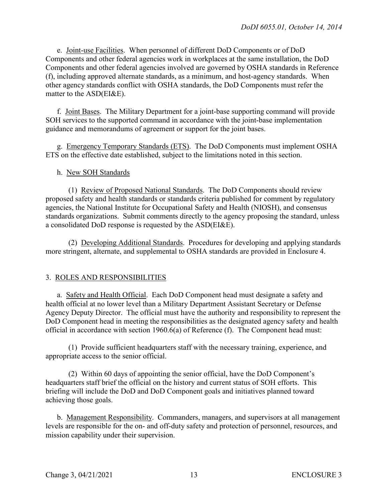e. Joint-use Facilities. When personnel of different DoD Components or of DoD Components and other federal agencies work in workplaces at the same installation, the DoD Components and other federal agencies involved are governed by OSHA standards in Reference (f), including approved alternate standards, as a minimum, and host-agency standards. When other agency standards conflict with OSHA standards, the DoD Components must refer the matter to the ASD(EI&E).

f. Joint Bases. The Military Department for a joint-base supporting command will provide SOH services to the supported command in accordance with the joint-base implementation guidance and memorandums of agreement or support for the joint bases.

g. Emergency Temporary Standards (ETS). The DoD Components must implement OSHA ETS on the effective date established, subject to the limitations noted in this section.

# h. New SOH Standards

(1) Review of Proposed National Standards. The DoD Components should review proposed safety and health standards or standards criteria published for comment by regulatory agencies, the National Institute for Occupational Safety and Health (NIOSH), and consensus standards organizations. Submit comments directly to the agency proposing the standard, unless a consolidated DoD response is requested by the ASD(EI&E).

(2) Developing Additional Standards. Procedures for developing and applying standards more stringent, alternate, and supplemental to OSHA standards are provided in Enclosure 4.

# 3. ROLES AND RESPONSIBILITIES

a. Safety and Health Official. Each DoD Component head must designate a safety and health official at no lower level than a Military Department Assistant Secretary or Defense Agency Deputy Director. The official must have the authority and responsibility to represent the DoD Component head in meeting the responsibilities as the designated agency safety and health official in accordance with section 1960.6(a) of Reference (f). The Component head must:

(1) Provide sufficient headquarters staff with the necessary training, experience, and appropriate access to the senior official.

(2) Within 60 days of appointing the senior official, have the DoD Component's headquarters staff brief the official on the history and current status of SOH efforts. This briefing will include the DoD and DoD Component goals and initiatives planned toward achieving those goals.

b. Management Responsibility. Commanders, managers, and supervisors at all management levels are responsible for the on- and off-duty safety and protection of personnel, resources, and mission capability under their supervision.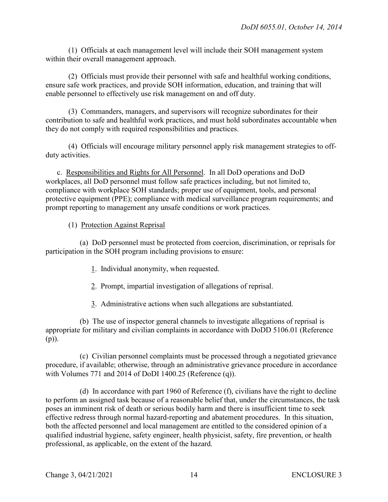(1) Officials at each management level will include their SOH management system within their overall management approach.

(2) Officials must provide their personnel with safe and healthful working conditions, ensure safe work practices, and provide SOH information, education, and training that will enable personnel to effectively use risk management on and off duty.

(3) Commanders, managers, and supervisors will recognize subordinates for their contribution to safe and healthful work practices, and must hold subordinates accountable when they do not comply with required responsibilities and practices.

(4) Officials will encourage military personnel apply risk management strategies to offduty activities.

c. Responsibilities and Rights for All Personnel. In all DoD operations and DoD workplaces, all DoD personnel must follow safe practices including, but not limited to, compliance with workplace SOH standards; proper use of equipment, tools, and personal protective equipment (PPE); compliance with medical surveillance program requirements; and prompt reporting to management any unsafe conditions or work practices.

# (1) Protection Against Reprisal

(a) DoD personnel must be protected from coercion, discrimination, or reprisals for participation in the SOH program including provisions to ensure:

- 1. Individual anonymity, when requested.
- 2. Prompt, impartial investigation of allegations of reprisal.
- 3. Administrative actions when such allegations are substantiated.

(b) The use of inspector general channels to investigate allegations of reprisal is appropriate for military and civilian complaints in accordance with DoDD 5106.01 (Reference (p)).

(c) Civilian personnel complaints must be processed through a negotiated grievance procedure, if available; otherwise, through an administrative grievance procedure in accordance with Volumes 771 and 2014 of DoDI 1400.25 (Reference (q)).

(d) In accordance with part 1960 of Reference (f), civilians have the right to decline to perform an assigned task because of a reasonable belief that, under the circumstances, the task poses an imminent risk of death or serious bodily harm and there is insufficient time to seek effective redress through normal hazard-reporting and abatement procedures. In this situation, both the affected personnel and local management are entitled to the considered opinion of a qualified industrial hygiene, safety engineer, health physicist, safety, fire prevention, or health professional, as applicable, on the extent of the hazard.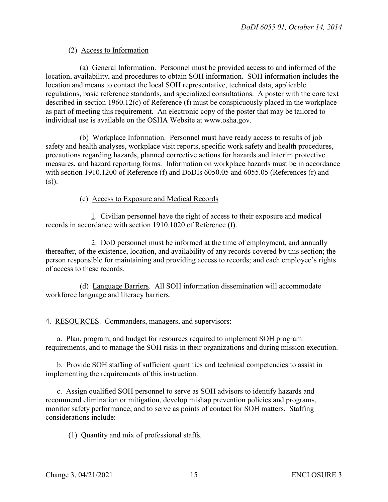# (2) Access to Information

(a) General Information. Personnel must be provided access to and informed of the location, availability, and procedures to obtain SOH information. SOH information includes the location and means to contact the local SOH representative, technical data, applicable regulations, basic reference standards, and specialized consultations. A poster with the core text described in section 1960.12(c) of Reference (f) must be conspicuously placed in the workplace as part of meeting this requirement. An electronic copy of the poster that may be tailored to individual use is available on the OSHA Website at www.osha.gov.

(b) Workplace Information. Personnel must have ready access to results of job safety and health analyses, workplace visit reports, specific work safety and health procedures, precautions regarding hazards, planned corrective actions for hazards and interim protective measures, and hazard reporting forms. Information on workplace hazards must be in accordance with section 1910.1200 of Reference (f) and DoDIs 6050.05 and 6055.05 (References (r) and (s)).

#### (c) Access to Exposure and Medical Records

1. Civilian personnel have the right of access to their exposure and medical records in accordance with section 1910.1020 of Reference (f).

2. DoD personnel must be informed at the time of employment, and annually thereafter, of the existence, location, and availability of any records covered by this section; the person responsible for maintaining and providing access to records; and each employee's rights of access to these records.

(d) Language Barriers. All SOH information dissemination will accommodate workforce language and literacy barriers.

4. RESOURCES. Commanders, managers, and supervisors:

a. Plan, program, and budget for resources required to implement SOH program requirements, and to manage the SOH risks in their organizations and during mission execution.

b. Provide SOH staffing of sufficient quantities and technical competencies to assist in implementing the requirements of this instruction.

c. Assign qualified SOH personnel to serve as SOH advisors to identify hazards and recommend elimination or mitigation, develop mishap prevention policies and programs, monitor safety performance; and to serve as points of contact for SOH matters. Staffing considerations include:

(1) Quantity and mix of professional staffs.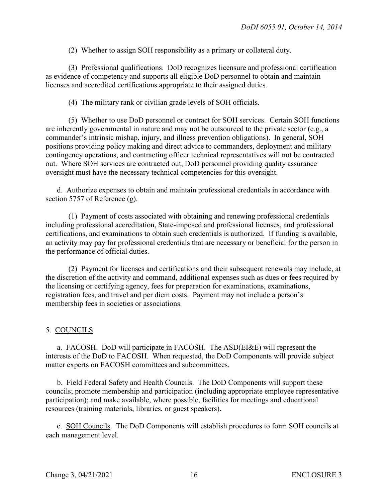(2) Whether to assign SOH responsibility as a primary or collateral duty.

(3) Professional qualifications. DoD recognizes licensure and professional certification as evidence of competency and supports all eligible DoD personnel to obtain and maintain licenses and accredited certifications appropriate to their assigned duties.

(4) The military rank or civilian grade levels of SOH officials.

(5) Whether to use DoD personnel or contract for SOH services. Certain SOH functions are inherently governmental in nature and may not be outsourced to the private sector (e.g., a commander's intrinsic mishap, injury, and illness prevention obligations). In general, SOH positions providing policy making and direct advice to commanders, deployment and military contingency operations, and contracting officer technical representatives will not be contracted out. Where SOH services are contracted out, DoD personnel providing quality assurance oversight must have the necessary technical competencies for this oversight.

d. Authorize expenses to obtain and maintain professional credentials in accordance with section 5757 of Reference (g).

(1) Payment of costs associated with obtaining and renewing professional credentials including professional accreditation, State-imposed and professional licenses, and professional certifications, and examinations to obtain such credentials is authorized. If funding is available, an activity may pay for professional credentials that are necessary or beneficial for the person in the performance of official duties.

(2) Payment for licenses and certifications and their subsequent renewals may include, at the discretion of the activity and command, additional expenses such as dues or fees required by the licensing or certifying agency, fees for preparation for examinations, examinations, registration fees, and travel and per diem costs. Payment may not include a person's membership fees in societies or associations.

#### 5. COUNCILS

a. FACOSH. DoD will participate in FACOSH. The ASD(EI&E) will represent the interests of the DoD to FACOSH. When requested, the DoD Components will provide subject matter experts on FACOSH committees and subcommittees.

b. Field Federal Safety and Health Councils. The DoD Components will support these councils; promote membership and participation (including appropriate employee representative participation); and make available, where possible, facilities for meetings and educational resources (training materials, libraries, or guest speakers).

c. SOH Councils. The DoD Components will establish procedures to form SOH councils at each management level.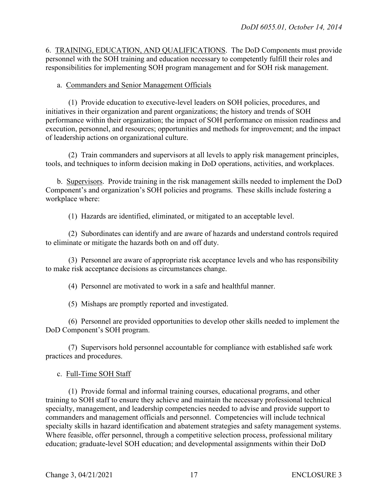6. TRAINING, EDUCATION, AND QUALIFICATIONS. The DoD Components must provide personnel with the SOH training and education necessary to competently fulfill their roles and responsibilities for implementing SOH program management and for SOH risk management.

#### a. Commanders and Senior Management Officials

(1) Provide education to executive-level leaders on SOH policies, procedures, and initiatives in their organization and parent organizations; the history and trends of SOH performance within their organization; the impact of SOH performance on mission readiness and execution, personnel, and resources; opportunities and methods for improvement; and the impact of leadership actions on organizational culture.

(2) Train commanders and supervisors at all levels to apply risk management principles, tools, and techniques to inform decision making in DoD operations, activities, and workplaces.

b. Supervisors. Provide training in the risk management skills needed to implement the DoD Component's and organization's SOH policies and programs. These skills include fostering a workplace where:

(1) Hazards are identified, eliminated, or mitigated to an acceptable level.

(2) Subordinates can identify and are aware of hazards and understand controls required to eliminate or mitigate the hazards both on and off duty.

(3) Personnel are aware of appropriate risk acceptance levels and who has responsibility to make risk acceptance decisions as circumstances change.

(4) Personnel are motivated to work in a safe and healthful manner.

(5) Mishaps are promptly reported and investigated.

(6) Personnel are provided opportunities to develop other skills needed to implement the DoD Component's SOH program.

(7) Supervisors hold personnel accountable for compliance with established safe work practices and procedures.

c. Full-Time SOH Staff

(1) Provide formal and informal training courses, educational programs, and other training to SOH staff to ensure they achieve and maintain the necessary professional technical specialty, management, and leadership competencies needed to advise and provide support to commanders and management officials and personnel. Competencies will include technical specialty skills in hazard identification and abatement strategies and safety management systems. Where feasible, offer personnel, through a competitive selection process, professional military education; graduate-level SOH education; and developmental assignments within their DoD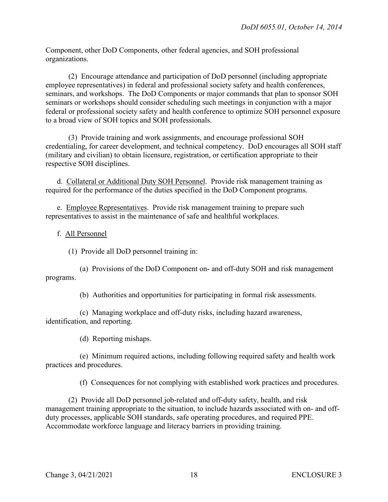Component, other DoD Components, other federal agencies, and SOH professional organizations.

(2) Encourage attendance and participation of DoD personnel (including appropriate employee representatives) in federal and professional society safety and health conferences, seminars, and workshops. The DoD Components or major commands that plan to sponsor SOH seminars or workshops should consider scheduling such meetings in conjunction with a major federal or professional society safety and health conference to optimize SOH personnel exposure to a broad view of SOH topics and SOH professionals.

(3) Provide training and work assignments, and encourage professional SOH credentialing, for career development, and technical competency. DoD encourages all SOH staff (military and civilian) to obtain licensure, registration, or certification appropriate to their respective SOH disciplines.

d. Collateral or Additional Duty SOH Personnel. Provide risk management training as required for the performance of the duties specified in the DoD Component programs.

e. Employee Representatives. Provide risk management training to prepare such representatives to assist in the maintenance of safe and healthful workplaces.

f. All Personnel

(1) Provide all DoD personnel training in:

(a) Provisions of the DoD Component on- and off-duty SOH and risk management programs.

(b) Authorities and opportunities for participating in formal risk assessments.

(c) Managing workplace and off-duty risks, including hazard awareness, identification, and reporting.

(d) Reporting mishaps.

(e) Minimum required actions, including following required safety and health work practices and procedures.

(f) Consequences for not complying with established work practices and procedures.

(2) Provide all DoD personnel job-related and off-duty safety, health, and risk management training appropriate to the situation, to include hazards associated with on- and offduty processes, applicable SOH standards, safe operating procedures, and required PPE. Accommodate workforce language and literacy barriers in providing training.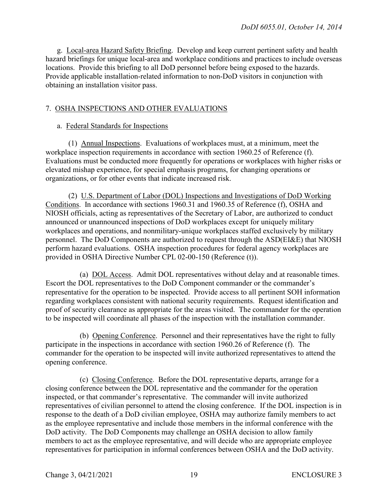g. Local-area Hazard Safety Briefing. Develop and keep current pertinent safety and health hazard briefings for unique local-area and workplace conditions and practices to include overseas locations. Provide this briefing to all DoD personnel before being exposed to the hazards. Provide applicable installation-related information to non-DoD visitors in conjunction with obtaining an installation visitor pass.

# 7. OSHA INSPECTIONS AND OTHER EVALUATIONS

#### a. Federal Standards for Inspections

(1) Annual Inspections. Evaluations of workplaces must, at a minimum, meet the workplace inspection requirements in accordance with section 1960.25 of Reference (f). Evaluations must be conducted more frequently for operations or workplaces with higher risks or elevated mishap experience, for special emphasis programs, for changing operations or organizations, or for other events that indicate increased risk.

(2) U.S. Department of Labor (DOL) Inspections and Investigations of DoD Working Conditions. In accordance with sections 1960.31 and 1960.35 of Reference (f), OSHA and NIOSH officials, acting as representatives of the Secretary of Labor, are authorized to conduct announced or unannounced inspections of DoD workplaces except for uniquely military workplaces and operations, and nonmilitary-unique workplaces staffed exclusively by military personnel. The DoD Components are authorized to request through the ASD(EI&E) that NIOSH perform hazard evaluations. OSHA inspection procedures for federal agency workplaces are provided in OSHA Directive Number CPL 02-00-150 (Reference (t)).

(a) DOL Access. Admit DOL representatives without delay and at reasonable times. Escort the DOL representatives to the DoD Component commander or the commander's representative for the operation to be inspected. Provide access to all pertinent SOH information regarding workplaces consistent with national security requirements. Request identification and proof of security clearance as appropriate for the areas visited. The commander for the operation to be inspected will coordinate all phases of the inspection with the installation commander.

(b) Opening Conference. Personnel and their representatives have the right to fully participate in the inspections in accordance with section 1960.26 of Reference (f). The commander for the operation to be inspected will invite authorized representatives to attend the opening conference.

(c) Closing Conference. Before the DOL representative departs, arrange for a closing conference between the DOL representative and the commander for the operation inspected, or that commander's representative. The commander will invite authorized representatives of civilian personnel to attend the closing conference. If the DOL inspection is in response to the death of a DoD civilian employee, OSHA may authorize family members to act as the employee representative and include those members in the informal conference with the DoD activity. The DoD Components may challenge an OSHA decision to allow family members to act as the employee representative, and will decide who are appropriate employee representatives for participation in informal conferences between OSHA and the DoD activity.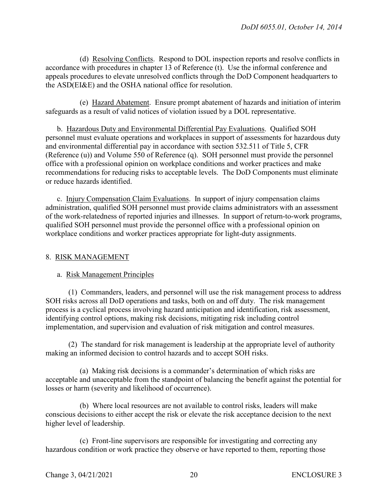(d) Resolving Conflicts. Respond to DOL inspection reports and resolve conflicts in accordance with procedures in chapter 13 of Reference (t). Use the informal conference and appeals procedures to elevate unresolved conflicts through the DoD Component headquarters to the ASD(EI&E) and the OSHA national office for resolution.

(e) Hazard Abatement. Ensure prompt abatement of hazards and initiation of interim safeguards as a result of valid notices of violation issued by a DOL representative.

b. Hazardous Duty and Environmental Differential Pay Evaluations. Qualified SOH personnel must evaluate operations and workplaces in support of assessments for hazardous duty and environmental differential pay in accordance with section 532.511 of Title 5, CFR (Reference (u)) and Volume 550 of Reference (q). SOH personnel must provide the personnel office with a professional opinion on workplace conditions and worker practices and make recommendations for reducing risks to acceptable levels. The DoD Components must eliminate or reduce hazards identified.

c. Injury Compensation Claim Evaluations. In support of injury compensation claims administration, qualified SOH personnel must provide claims administrators with an assessment of the work-relatedness of reported injuries and illnesses. In support of return-to-work programs, qualified SOH personnel must provide the personnel office with a professional opinion on workplace conditions and worker practices appropriate for light-duty assignments.

#### 8. RISK MANAGEMENT

#### a. Risk Management Principles

(1) Commanders, leaders, and personnel will use the risk management process to address SOH risks across all DoD operations and tasks, both on and off duty. The risk management process is a cyclical process involving hazard anticipation and identification, risk assessment, identifying control options, making risk decisions, mitigating risk including control implementation, and supervision and evaluation of risk mitigation and control measures.

(2) The standard for risk management is leadership at the appropriate level of authority making an informed decision to control hazards and to accept SOH risks.

(a) Making risk decisions is a commander's determination of which risks are acceptable and unacceptable from the standpoint of balancing the benefit against the potential for losses or harm (severity and likelihood of occurrence).

(b) Where local resources are not available to control risks, leaders will make conscious decisions to either accept the risk or elevate the risk acceptance decision to the next higher level of leadership.

(c) Front-line supervisors are responsible for investigating and correcting any hazardous condition or work practice they observe or have reported to them, reporting those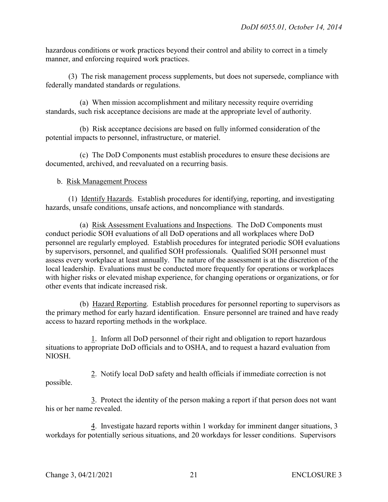hazardous conditions or work practices beyond their control and ability to correct in a timely manner, and enforcing required work practices.

(3) The risk management process supplements, but does not supersede, compliance with federally mandated standards or regulations.

(a) When mission accomplishment and military necessity require overriding standards, such risk acceptance decisions are made at the appropriate level of authority.

(b) Risk acceptance decisions are based on fully informed consideration of the potential impacts to personnel, infrastructure, or materiel.

(c) The DoD Components must establish procedures to ensure these decisions are documented, archived, and reevaluated on a recurring basis.

# b. Risk Management Process

(1) Identify Hazards. Establish procedures for identifying, reporting, and investigating hazards, unsafe conditions, unsafe actions, and noncompliance with standards.

(a) Risk Assessment Evaluations and Inspections. The DoD Components must conduct periodic SOH evaluations of all DoD operations and all workplaces where DoD personnel are regularly employed. Establish procedures for integrated periodic SOH evaluations by supervisors, personnel, and qualified SOH professionals. Qualified SOH personnel must assess every workplace at least annually. The nature of the assessment is at the discretion of the local leadership. Evaluations must be conducted more frequently for operations or workplaces with higher risks or elevated mishap experience, for changing operations or organizations, or for other events that indicate increased risk.

(b) Hazard Reporting. Establish procedures for personnel reporting to supervisors as the primary method for early hazard identification. Ensure personnel are trained and have ready access to hazard reporting methods in the workplace.

1. Inform all DoD personnel of their right and obligation to report hazardous situations to appropriate DoD officials and to OSHA, and to request a hazard evaluation from NIOSH.

2. Notify local DoD safety and health officials if immediate correction is not possible.

3. Protect the identity of the person making a report if that person does not want his or her name revealed.

4. Investigate hazard reports within 1 workday for imminent danger situations, 3 workdays for potentially serious situations, and 20 workdays for lesser conditions. Supervisors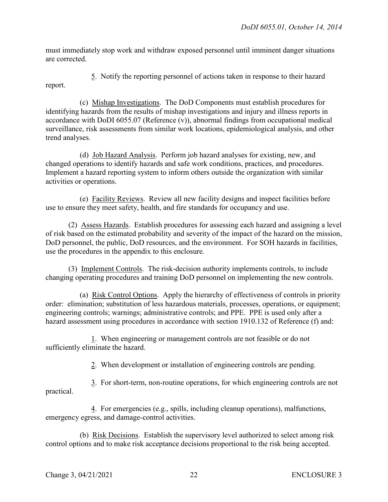must immediately stop work and withdraw exposed personnel until imminent danger situations are corrected.

5. Notify the reporting personnel of actions taken in response to their hazard report.

(c) Mishap Investigations. The DoD Components must establish procedures for identifying hazards from the results of mishap investigations and injury and illness reports in accordance with DoDI 6055.07 (Reference (v)), abnormal findings from occupational medical surveillance, risk assessments from similar work locations, epidemiological analysis, and other trend analyses.

(d) Job Hazard Analysis. Perform job hazard analyses for existing, new, and changed operations to identify hazards and safe work conditions, practices, and procedures. Implement a hazard reporting system to inform others outside the organization with similar activities or operations.

(e) Facility Reviews. Review all new facility designs and inspect facilities before use to ensure they meet safety, health, and fire standards for occupancy and use.

(2) Assess Hazards. Establish procedures for assessing each hazard and assigning a level of risk based on the estimated probability and severity of the impact of the hazard on the mission, DoD personnel, the public, DoD resources, and the environment. For SOH hazards in facilities, use the procedures in the appendix to this enclosure.

(3) Implement Controls. The risk-decision authority implements controls, to include changing operating procedures and training DoD personnel on implementing the new controls.

(a) Risk Control Options. Apply the hierarchy of effectiveness of controls in priority order: elimination; substitution of less hazardous materials, processes, operations, or equipment; engineering controls; warnings; administrative controls; and PPE. PPE is used only after a hazard assessment using procedures in accordance with section 1910.132 of Reference (f) and:

1. When engineering or management controls are not feasible or do not sufficiently eliminate the hazard.

2. When development or installation of engineering controls are pending.

3. For short-term, non-routine operations, for which engineering controls are not practical.

4. For emergencies (e.g., spills, including cleanup operations), malfunctions, emergency egress, and damage-control activities.

(b) Risk Decisions. Establish the supervisory level authorized to select among risk control options and to make risk acceptance decisions proportional to the risk being accepted.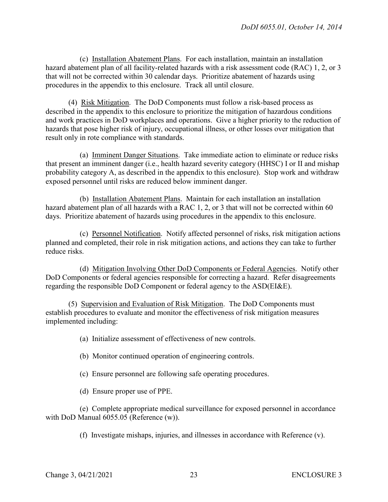(c) Installation Abatement Plans. For each installation, maintain an installation hazard abatement plan of all facility-related hazards with a risk assessment code (RAC) 1, 2, or 3 that will not be corrected within 30 calendar days. Prioritize abatement of hazards using procedures in the appendix to this enclosure. Track all until closure.

(4) Risk Mitigation. The DoD Components must follow a risk-based process as described in the appendix to this enclosure to prioritize the mitigation of hazardous conditions and work practices in DoD workplaces and operations. Give a higher priority to the reduction of hazards that pose higher risk of injury, occupational illness, or other losses over mitigation that result only in rote compliance with standards.

(a) Imminent Danger Situations. Take immediate action to eliminate or reduce risks that present an imminent danger (i.e., health hazard severity category (HHSC) I or II and mishap probability category A, as described in the appendix to this enclosure). Stop work and withdraw exposed personnel until risks are reduced below imminent danger.

(b) Installation Abatement Plans. Maintain for each installation an installation hazard abatement plan of all hazards with a RAC 1, 2, or 3 that will not be corrected within 60 days. Prioritize abatement of hazards using procedures in the appendix to this enclosure.

(c) Personnel Notification. Notify affected personnel of risks, risk mitigation actions planned and completed, their role in risk mitigation actions, and actions they can take to further reduce risks.

(d) Mitigation Involving Other DoD Components or Federal Agencies. Notify other DoD Components or federal agencies responsible for correcting a hazard. Refer disagreements regarding the responsible DoD Component or federal agency to the ASD(EI&E).

(5) Supervision and Evaluation of Risk Mitigation. The DoD Components must establish procedures to evaluate and monitor the effectiveness of risk mitigation measures implemented including:

(a) Initialize assessment of effectiveness of new controls.

(b) Monitor continued operation of engineering controls.

(c) Ensure personnel are following safe operating procedures.

(d) Ensure proper use of PPE.

(e) Complete appropriate medical surveillance for exposed personnel in accordance with DoD Manual 6055.05 (Reference (w)).

(f) Investigate mishaps, injuries, and illnesses in accordance with Reference (v).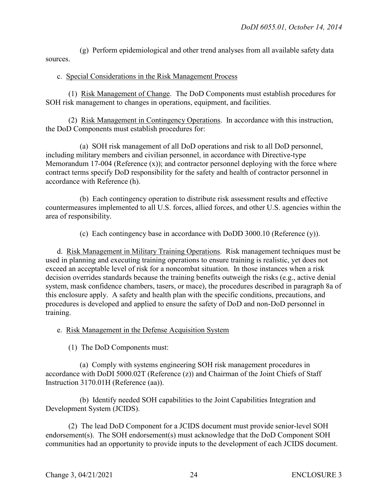(g) Perform epidemiological and other trend analyses from all available safety data sources.

#### c. Special Considerations in the Risk Management Process

(1) Risk Management of Change. The DoD Components must establish procedures for SOH risk management to changes in operations, equipment, and facilities.

(2) Risk Management in Contingency Operations. In accordance with this instruction, the DoD Components must establish procedures for:

(a) SOH risk management of all DoD operations and risk to all DoD personnel, including military members and civilian personnel, in accordance with Directive-type Memorandum 17-004 (Reference (x)); and contractor personnel deploying with the force where contract terms specify DoD responsibility for the safety and health of contractor personnel in accordance with Reference (h).

(b) Each contingency operation to distribute risk assessment results and effective countermeasures implemented to all U.S. forces, allied forces, and other U.S. agencies within the area of responsibility.

(c) Each contingency base in accordance with DoDD 3000.10 (Reference (y)).

d. Risk Management in Military Training Operations. Risk management techniques must be used in planning and executing training operations to ensure training is realistic, yet does not exceed an acceptable level of risk for a noncombat situation. In those instances when a risk decision overrides standards because the training benefits outweigh the risks (e.g., active denial system, mask confidence chambers, tasers, or mace), the procedures described in paragraph 8a of this enclosure apply. A safety and health plan with the specific conditions, precautions, and procedures is developed and applied to ensure the safety of DoD and non-DoD personnel in training.

#### e. Risk Management in the Defense Acquisition System

(1) The DoD Components must:

(a) Comply with systems engineering SOH risk management procedures in accordance with DoDI 5000.02T (Reference (z)) and Chairman of the Joint Chiefs of Staff Instruction 3170.01H (Reference (aa)).

(b) Identify needed SOH capabilities to the Joint Capabilities Integration and Development System (JCIDS).

(2) The lead DoD Component for a JCIDS document must provide senior-level SOH endorsement(s). The SOH endorsement(s) must acknowledge that the DoD Component SOH communities had an opportunity to provide inputs to the development of each JCIDS document.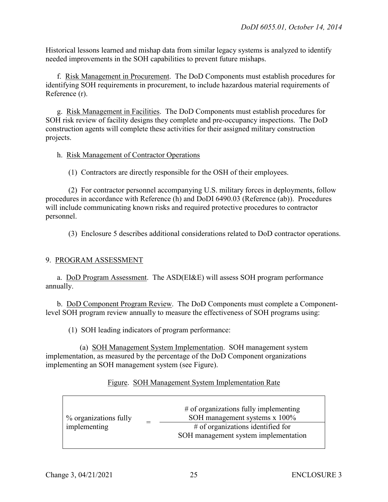Historical lessons learned and mishap data from similar legacy systems is analyzed to identify needed improvements in the SOH capabilities to prevent future mishaps.

 f. Risk Management in Procurement. The DoD Components must establish procedures for identifying SOH requirements in procurement, to include hazardous material requirements of Reference (r).

 g. Risk Management in Facilities. The DoD Components must establish procedures for SOH risk review of facility designs they complete and pre-occupancy inspections. The DoD construction agents will complete these activities for their assigned military construction projects.

#### h. Risk Management of Contractor Operations

(1) Contractors are directly responsible for the OSH of their employees.

 (2) For contractor personnel accompanying U.S. military forces in deployments, follow procedures in accordance with Reference (h) and DoDI 6490.03 (Reference (ab)). Procedures will include communicating known risks and required protective procedures to contractor personnel.

(3) Enclosure 5 describes additional considerations related to DoD contractor operations.

#### 9. PROGRAM ASSESSMENT

a. DoD Program Assessment. The ASD(EI&E) will assess SOH program performance annually.

 b. DoD Component Program Review. The DoD Components must complete a Componentlevel SOH program review annually to measure the effectiveness of SOH programs using:

(1) SOH leading indicators of program performance:

 (a) SOH Management System Implementation. SOH management system implementation, as measured by the percentage of the DoD Component organizations implementing an SOH management system (see Figure).

| Figure. SOH Management System Implementation Rate |  |  |
|---------------------------------------------------|--|--|
|                                                   |  |  |

| % organizations fully | $#$ of organizations fully implementing<br>SOH management systems x 100% |
|-----------------------|--------------------------------------------------------------------------|
| implementing          | $#$ of organizations identified for                                      |
|                       | SOH management system implementation                                     |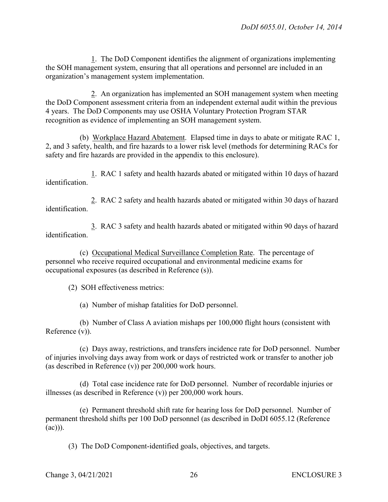1. The DoD Component identifies the alignment of organizations implementing the SOH management system, ensuring that all operations and personnel are included in an organization's management system implementation.

2. An organization has implemented an SOH management system when meeting the DoD Component assessment criteria from an independent external audit within the previous 4 years. The DoD Components may use OSHA Voluntary Protection Program STAR recognition as evidence of implementing an SOH management system.

(b) Workplace Hazard Abatement. Elapsed time in days to abate or mitigate RAC 1, 2, and 3 safety, health, and fire hazards to a lower risk level (methods for determining RACs for safety and fire hazards are provided in the appendix to this enclosure).

1. RAC 1 safety and health hazards abated or mitigated within 10 days of hazard identification.

2. RAC 2 safety and health hazards abated or mitigated within 30 days of hazard identification.

3. RAC 3 safety and health hazards abated or mitigated within 90 days of hazard identification.

(c) Occupational Medical Surveillance Completion Rate. The percentage of personnel who receive required occupational and environmental medicine exams for occupational exposures (as described in Reference (s)).

(2) SOH effectiveness metrics:

(a) Number of mishap fatalities for DoD personnel.

(b) Number of Class A aviation mishaps per 100,000 flight hours (consistent with Reference (v)).

(c) Days away, restrictions, and transfers incidence rate for DoD personnel. Number of injuries involving days away from work or days of restricted work or transfer to another job (as described in Reference (v)) per 200,000 work hours.

(d) Total case incidence rate for DoD personnel. Number of recordable injuries or illnesses (as described in Reference (v)) per 200,000 work hours.

(e) Permanent threshold shift rate for hearing loss for DoD personnel. Number of permanent threshold shifts per 100 DoD personnel (as described in DoDI 6055.12 (Reference (ac))).

(3) The DoD Component-identified goals, objectives, and targets.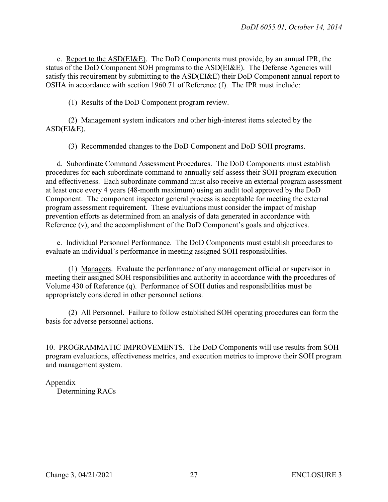c. Report to the  $ASD(EI\&E)$ . The DoD Components must provide, by an annual IPR, the status of the DoD Component SOH programs to the ASD(EI&E). The Defense Agencies will satisfy this requirement by submitting to the ASD(EI&E) their DoD Component annual report to OSHA in accordance with section 1960.71 of Reference (f). The IPR must include:

(1) Results of the DoD Component program review.

(2) Management system indicators and other high-interest items selected by the ASD(EI&E).

(3) Recommended changes to the DoD Component and DoD SOH programs.

d. Subordinate Command Assessment Procedures. The DoD Components must establish procedures for each subordinate command to annually self-assess their SOH program execution and effectiveness. Each subordinate command must also receive an external program assessment at least once every 4 years (48-month maximum) using an audit tool approved by the DoD Component. The component inspector general process is acceptable for meeting the external program assessment requirement. These evaluations must consider the impact of mishap prevention efforts as determined from an analysis of data generated in accordance with Reference (v), and the accomplishment of the DoD Component's goals and objectives.

e. Individual Personnel Performance. The DoD Components must establish procedures to evaluate an individual's performance in meeting assigned SOH responsibilities.

(1) Managers. Evaluate the performance of any management official or supervisor in meeting their assigned SOH responsibilities and authority in accordance with the procedures of Volume 430 of Reference (q). Performance of SOH duties and responsibilities must be appropriately considered in other personnel actions.

(2) All Personnel. Failure to follow established SOH operating procedures can form the basis for adverse personnel actions.

10. PROGRAMMATIC IMPROVEMENTS. The DoD Components will use results from SOH program evaluations, effectiveness metrics, and execution metrics to improve their SOH program and management system.

Appendix

Determining RACs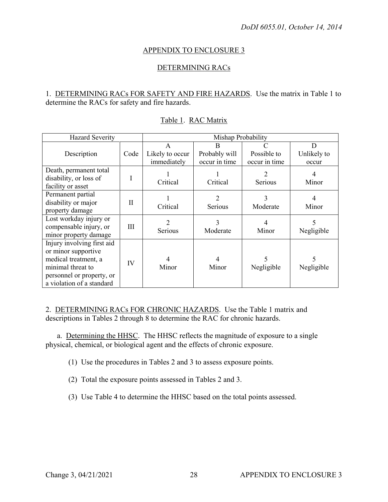#### APPENDIX TO ENCLOSURE 3

#### DETERMINING RACs

#### 1. DETERMINING RACs FOR SAFETY AND FIRE HAZARDS. Use the matrix in Table 1 to determine the RACs for safety and fire hazards.

| <b>Hazard Severity</b>                                                                                                                                   |             | Mishap Probability                  |                                     |                              |                           |  |
|----------------------------------------------------------------------------------------------------------------------------------------------------------|-------------|-------------------------------------|-------------------------------------|------------------------------|---------------------------|--|
| Description                                                                                                                                              | Code        | A<br>Likely to occur<br>immediately | B<br>Probably will<br>occur in time | Possible to<br>occur in time | D<br>Unlikely to<br>occur |  |
| Death, permanent total<br>disability, or loss of<br>facility or asset                                                                                    | -           | Critical                            | Critical                            | Serious                      | 4<br>Minor                |  |
| Permanent partial<br>disability or major<br>property damage                                                                                              | $_{\rm II}$ | Critical                            | 2<br>Serious                        | Moderate                     | Minor                     |  |
| Lost workday injury or<br>compensable injury, or<br>minor property damage                                                                                | Ш           | Serious                             | 3<br>Moderate                       | Minor                        | Negligible                |  |
| Injury involving first aid<br>or minor supportive<br>medical treatment, a<br>minimal threat to<br>personnel or property, or<br>a violation of a standard | IV          | Minor                               | Minor                               | Negligible                   | Negligible                |  |

#### Table 1. RAC Matrix

2. DETERMINING RACs FOR CHRONIC HAZARDS. Use the Table 1 matrix and descriptions in Tables 2 through 8 to determine the RAC for chronic hazards.

a. Determining the HHSC. The HHSC reflects the magnitude of exposure to a single physical, chemical, or biological agent and the effects of chronic exposure.

(1) Use the procedures in Tables 2 and 3 to assess exposure points.

- (2) Total the exposure points assessed in Tables 2 and 3.
- (3) Use Table 4 to determine the HHSC based on the total points assessed.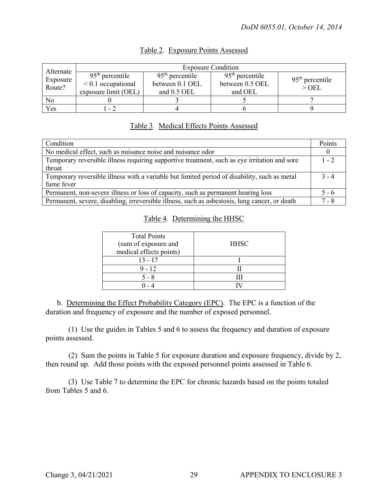|                                                                                                                                             | <b>Exposure Condition</b> |                 |                                                 |                              |  |  |
|---------------------------------------------------------------------------------------------------------------------------------------------|---------------------------|-----------------|-------------------------------------------------|------------------------------|--|--|
| Alternate<br>$95th$ percentile<br>$95th$ percentile<br>Exposure<br>$\leq 0.1$ occupational<br>Route?<br>exposure limit (OEL)<br>and 0.5 OEL |                           | between 0.1 OEL | $95th$ percentile<br>between 0.5 OEL<br>and OEL | $95th$ percentile<br>$>$ OEL |  |  |
| No                                                                                                                                          |                           |                 |                                                 |                              |  |  |
| Yes                                                                                                                                         | $-2$                      |                 |                                                 |                              |  |  |

# Table 2. Exposure Points Assessed

# Table 3. Medical Effects Points Assessed

| Condition                                                                                     | Points  |
|-----------------------------------------------------------------------------------------------|---------|
| No medical effect, such as nuisance noise and nuisance odor                                   |         |
| Temporary reversible illness requiring supportive treatment, such as eye irritation and sore  | $1 - 2$ |
| throat                                                                                        |         |
| Temporary reversible illness with a variable but limited period of disability, such as metal  | $3 - 4$ |
| fume fever                                                                                    |         |
| Permanent, non-severe illness or loss of capacity, such as permanent hearing loss             | $5 - 6$ |
| Permanent, severe, disabling, irreversible illness, such as asbestosis, lung cancer, or death | 7 - 8   |

# Table 4. Determining the HHSC

| <b>Total Points</b><br>(sum of exposure and<br>medical effects points) | <b>HHSC</b> |
|------------------------------------------------------------------------|-------------|
| $13 - 17$                                                              |             |
| $9 - 12$                                                               |             |
| 5 - 8                                                                  |             |
|                                                                        |             |

 b. Determining the Effect Probability Category (EPC). The EPC is a function of the duration and frequency of exposure and the number of exposed personnel.

 (1) Use the guides in Tables 5 and 6 to assess the frequency and duration of exposure points assessed.

 (2) Sum the points in Table 5 for exposure duration and exposure frequency, divide by 2, then round up. Add those points with the exposed personnel points assessed in Table 6.

 (3) Use Table 7 to determine the EPC for chronic hazards based on the points totaled from Tables 5 and 6.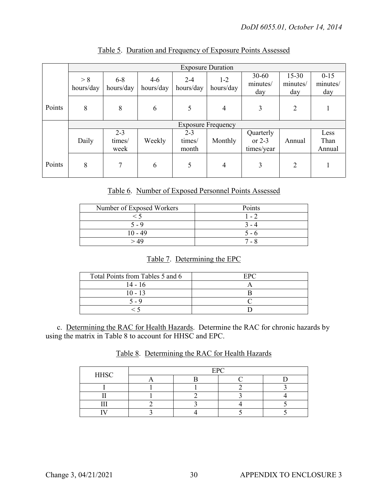|        |                  | <b>Exposure Duration</b>  |                    |                            |                      |                                     |                              |                             |
|--------|------------------|---------------------------|--------------------|----------------------------|----------------------|-------------------------------------|------------------------------|-----------------------------|
|        | > 8<br>hours/day | $6 - 8$<br>hours/day      | $4-6$<br>hours/day | $2 - 4$<br>hours/day       | $1 - 2$<br>hours/day | $30 - 60$<br>minutes/<br>day        | $15 - 30$<br>minutes/<br>day | $0 - 15$<br>minutes/<br>day |
| Points | 8                | 8                         | 6                  | 5                          | $\overline{4}$       | 3                                   | $\overline{2}$               |                             |
|        |                  | <b>Exposure Frequency</b> |                    |                            |                      |                                     |                              |                             |
|        | Daily            | $2 - 3$<br>times/<br>week | Weekly             | $2 - 3$<br>times/<br>month | Monthly              | Quarterly<br>or $2-3$<br>times/year | Annual                       | Less<br>Than<br>Annual      |
| Points | 8                | 7                         | 6                  | 5                          | $\overline{4}$       | 3                                   | $\overline{2}$               |                             |

Table 5. Duration and Frequency of Exposure Points Assessed

Table 6. Number of Exposed Personnel Points Assessed

| Number of Exposed Workers | Points |
|---------------------------|--------|
|                           | $-2$   |
| $5 - 9$                   |        |
| $10 - 49$                 | ጎ - ሰ  |
|                           | ' - 8  |

# Table 7. Determining the EPC

| Total Points from Tables 5 and 6 | EPC |
|----------------------------------|-----|
| $14 - 16$                        |     |
| $10 - 13$                        |     |
| ร - 9                            |     |
|                                  |     |

c. Determining the RAC for Health Hazards. Determine the RAC for chronic hazards by using the matrix in Table 8 to account for HHSC and EPC.

# Table 8. Determining the RAC for Health Hazards

| <b>HHSC</b> | <b>EPC</b> |  |  |  |
|-------------|------------|--|--|--|
|             |            |  |  |  |
|             |            |  |  |  |
|             |            |  |  |  |
|             |            |  |  |  |
|             |            |  |  |  |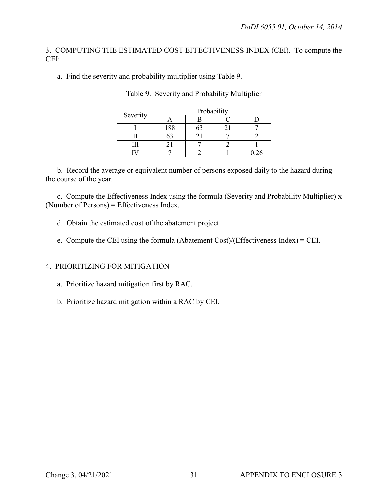# 3. COMPUTING THE ESTIMATED COST EFFECTIVENESS INDEX (CEI). To compute the CEI:

a. Find the severity and probability multiplier using Table 9.

| Severity | Probability |  |  |      |
|----------|-------------|--|--|------|
|          |             |  |  |      |
|          | 188         |  |  |      |
|          |             |  |  |      |
|          |             |  |  |      |
|          |             |  |  | 76 ۱ |

Table 9. Severity and Probability Multiplier

 b. Record the average or equivalent number of persons exposed daily to the hazard during the course of the year.

c. Compute the Effectiveness Index using the formula (Severity and Probability Multiplier) x (Number of Persons) = Effectiveness Index.

- d. Obtain the estimated cost of the abatement project.
- e. Compute the CEI using the formula (Abatement Cost)/(Effectiveness Index) = CEI.

# 4. PRIORITIZING FOR MITIGATION

- a. Prioritize hazard mitigation first by RAC.
- b. Prioritize hazard mitigation within a RAC by CEI.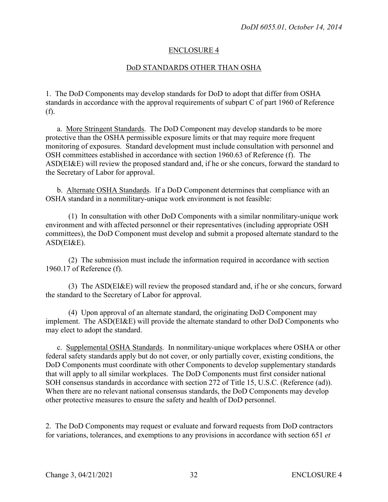#### ENCLOSURE 4

#### DoD STANDARDS OTHER THAN OSHA

1. The DoD Components may develop standards for DoD to adopt that differ from OSHA standards in accordance with the approval requirements of subpart C of part 1960 of Reference (f).

a. More Stringent Standards. The DoD Component may develop standards to be more protective than the OSHA permissible exposure limits or that may require more frequent monitoring of exposures. Standard development must include consultation with personnel and OSH committees established in accordance with section 1960.63 of Reference (f). The ASD(EI&E) will review the proposed standard and, if he or she concurs, forward the standard to the Secretary of Labor for approval.

b. Alternate OSHA Standards. If a DoD Component determines that compliance with an OSHA standard in a nonmilitary-unique work environment is not feasible:

(1) In consultation with other DoD Components with a similar nonmilitary-unique work environment and with affected personnel or their representatives (including appropriate OSH committees), the DoD Component must develop and submit a proposed alternate standard to the ASD(EI&E).

(2) The submission must include the information required in accordance with section 1960.17 of Reference (f).

(3) The ASD(EI&E) will review the proposed standard and, if he or she concurs, forward the standard to the Secretary of Labor for approval.

(4) Upon approval of an alternate standard, the originating DoD Component may implement. The ASD(EI&E) will provide the alternate standard to other DoD Components who may elect to adopt the standard.

c. Supplemental OSHA Standards. In nonmilitary-unique workplaces where OSHA or other federal safety standards apply but do not cover, or only partially cover, existing conditions, the DoD Components must coordinate with other Components to develop supplementary standards that will apply to all similar workplaces. The DoD Components must first consider national SOH consensus standards in accordance with section 272 of Title 15, U.S.C. (Reference (ad)). When there are no relevant national consensus standards, the DoD Components may develop other protective measures to ensure the safety and health of DoD personnel.

2. The DoD Components may request or evaluate and forward requests from DoD contractors for variations, tolerances, and exemptions to any provisions in accordance with section 651 *et*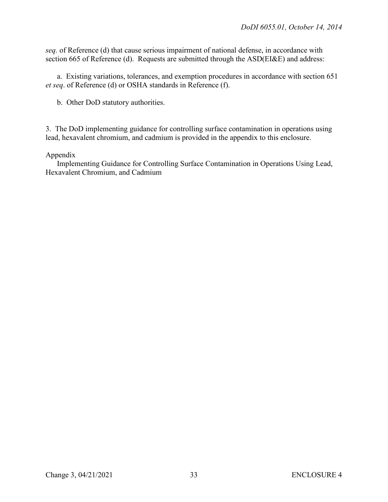*seq.* of Reference (d) that cause serious impairment of national defense, in accordance with section 665 of Reference (d). Requests are submitted through the ASD(EI&E) and address:

a. Existing variations, tolerances, and exemption procedures in accordance with section 651 *et seq*. of Reference (d) or OSHA standards in Reference (f).

b. Other DoD statutory authorities.

3. The DoD implementing guidance for controlling surface contamination in operations using lead, hexavalent chromium, and cadmium is provided in the appendix to this enclosure.

#### Appendix

Implementing Guidance for Controlling Surface Contamination in Operations Using Lead, Hexavalent Chromium, and Cadmium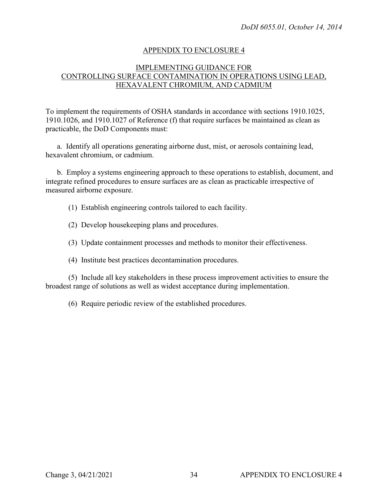#### APPENDIX TO ENCLOSURE 4

#### IMPLEMENTING GUIDANCE FOR CONTROLLING SURFACE CONTAMINATION IN OPERATIONS USING LEAD, HEXAVALENT CHROMIUM, AND CADMIUM

To implement the requirements of OSHA standards in accordance with sections 1910.1025, 1910.1026, and 1910.1027 of Reference (f) that require surfaces be maintained as clean as practicable, the DoD Components must:

a. Identify all operations generating airborne dust, mist, or aerosols containing lead, hexavalent chromium, or cadmium.

b. Employ a systems engineering approach to these operations to establish, document, and integrate refined procedures to ensure surfaces are as clean as practicable irrespective of measured airborne exposure.

- (1) Establish engineering controls tailored to each facility.
- (2) Develop housekeeping plans and procedures.
- (3) Update containment processes and methods to monitor their effectiveness.
- (4) Institute best practices decontamination procedures.

(5) Include all key stakeholders in these process improvement activities to ensure the broadest range of solutions as well as widest acceptance during implementation.

(6) Require periodic review of the established procedures.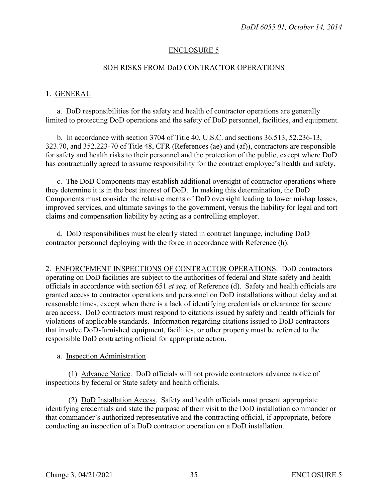#### ENCLOSURE 5

#### SOH RISKS FROM DoD CONTRACTOR OPERATIONS

#### 1. GENERAL

a. DoD responsibilities for the safety and health of contractor operations are generally limited to protecting DoD operations and the safety of DoD personnel, facilities, and equipment.

b. In accordance with section 3704 of Title 40, U.S.C. and sections 36.513, 52.236-13, 323.70, and 352.223-70 of Title 48, CFR (References (ae) and (af)), contractors are responsible for safety and health risks to their personnel and the protection of the public, except where DoD has contractually agreed to assume responsibility for the contract employee's health and safety.

c. The DoD Components may establish additional oversight of contractor operations where they determine it is in the best interest of DoD. In making this determination, the DoD Components must consider the relative merits of DoD oversight leading to lower mishap losses, improved services, and ultimate savings to the government, versus the liability for legal and tort claims and compensation liability by acting as a controlling employer.

d. DoD responsibilities must be clearly stated in contract language, including DoD contractor personnel deploying with the force in accordance with Reference (h).

2. ENFORCEMENT INSPECTIONS OF CONTRACTOR OPERATIONS. DoD contractors operating on DoD facilities are subject to the authorities of federal and State safety and health officials in accordance with section 651 *et seq.* of Reference (d). Safety and health officials are granted access to contractor operations and personnel on DoD installations without delay and at reasonable times, except when there is a lack of identifying credentials or clearance for secure area access. DoD contractors must respond to citations issued by safety and health officials for violations of applicable standards. Information regarding citations issued to DoD contractors that involve DoD-furnished equipment, facilities, or other property must be referred to the responsible DoD contracting official for appropriate action.

#### a. Inspection Administration

(1) Advance Notice. DoD officials will not provide contractors advance notice of inspections by federal or State safety and health officials.

(2) DoD Installation Access. Safety and health officials must present appropriate identifying credentials and state the purpose of their visit to the DoD installation commander or that commander's authorized representative and the contracting official, if appropriate, before conducting an inspection of a DoD contractor operation on a DoD installation.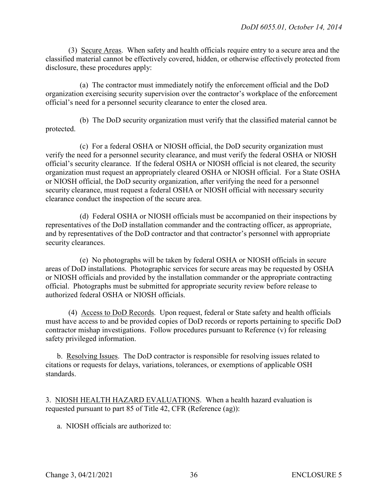(3) Secure Areas. When safety and health officials require entry to a secure area and the classified material cannot be effectively covered, hidden, or otherwise effectively protected from disclosure, these procedures apply:

(a) The contractor must immediately notify the enforcement official and the DoD organization exercising security supervision over the contractor's workplace of the enforcement official's need for a personnel security clearance to enter the closed area.

(b) The DoD security organization must verify that the classified material cannot be protected.

(c) For a federal OSHA or NIOSH official, the DoD security organization must verify the need for a personnel security clearance, and must verify the federal OSHA or NIOSH official's security clearance. If the federal OSHA or NIOSH official is not cleared, the security organization must request an appropriately cleared OSHA or NIOSH official. For a State OSHA or NIOSH official, the DoD security organization, after verifying the need for a personnel security clearance, must request a federal OSHA or NIOSH official with necessary security clearance conduct the inspection of the secure area.

(d) Federal OSHA or NIOSH officials must be accompanied on their inspections by representatives of the DoD installation commander and the contracting officer, as appropriate, and by representatives of the DoD contractor and that contractor's personnel with appropriate security clearances.

(e) No photographs will be taken by federal OSHA or NIOSH officials in secure areas of DoD installations. Photographic services for secure areas may be requested by OSHA or NIOSH officials and provided by the installation commander or the appropriate contracting official. Photographs must be submitted for appropriate security review before release to authorized federal OSHA or NIOSH officials.

(4) Access to DoD Records. Upon request, federal or State safety and health officials must have access to and be provided copies of DoD records or reports pertaining to specific DoD contractor mishap investigations. Follow procedures pursuant to Reference (v) for releasing safety privileged information.

b. Resolving Issues. The DoD contractor is responsible for resolving issues related to citations or requests for delays, variations, tolerances, or exemptions of applicable OSH standards.

3. NIOSH HEALTH HAZARD EVALUATIONS. When a health hazard evaluation is requested pursuant to part 85 of Title 42, CFR (Reference (ag)):

a. NIOSH officials are authorized to: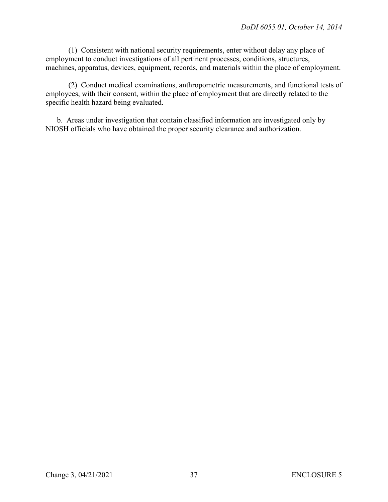(1) Consistent with national security requirements, enter without delay any place of employment to conduct investigations of all pertinent processes, conditions, structures, machines, apparatus, devices, equipment, records, and materials within the place of employment.

(2) Conduct medical examinations, anthropometric measurements, and functional tests of employees, with their consent, within the place of employment that are directly related to the specific health hazard being evaluated.

b. Areas under investigation that contain classified information are investigated only by NIOSH officials who have obtained the proper security clearance and authorization.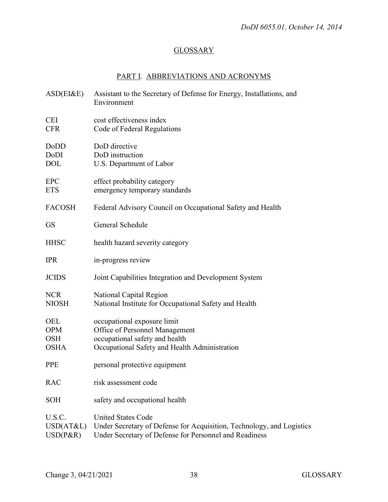# **GLOSSARY**

# PART I. ABBREVIATIONS AND ACRONYMS

| ASD(EI&E)                                      | Assistant to the Secretary of Defense for Energy, Installations, and<br>Environment                                                                          |
|------------------------------------------------|--------------------------------------------------------------------------------------------------------------------------------------------------------------|
| CEI<br><b>CFR</b>                              | cost effectiveness index<br>Code of Federal Regulations                                                                                                      |
| DoDD<br>DoDI<br><b>DOL</b>                     | DoD directive<br>DoD instruction<br>U.S. Department of Labor                                                                                                 |
| <b>EPC</b><br><b>ETS</b>                       | effect probability category<br>emergency temporary standards                                                                                                 |
| <b>FACOSH</b>                                  | Federal Advisory Council on Occupational Safety and Health                                                                                                   |
| <b>GS</b>                                      | General Schedule                                                                                                                                             |
| <b>HHSC</b>                                    | health hazard severity category                                                                                                                              |
| <b>IPR</b>                                     | in-progress review                                                                                                                                           |
| <b>JCIDS</b>                                   | Joint Capabilities Integration and Development System                                                                                                        |
| <b>NCR</b><br><b>NIOSH</b>                     | National Capital Region<br>National Institute for Occupational Safety and Health                                                                             |
| OEL<br><b>OPM</b><br><b>OSH</b><br><b>OSHA</b> | occupational exposure limit<br>Office of Personnel Management<br>occupational safety and health<br>Occupational Safety and Health Administration             |
| <b>PPE</b>                                     | personal protective equipment                                                                                                                                |
| <b>RAC</b>                                     | risk assessment code                                                                                                                                         |
| <b>SOH</b>                                     | safety and occupational health                                                                                                                               |
| U.S.C.<br>USD(AT&L)<br>$USD(P\&R)$             | <b>United States Code</b><br>Under Secretary of Defense for Acquisition, Technology, and Logistics<br>Under Secretary of Defense for Personnel and Readiness |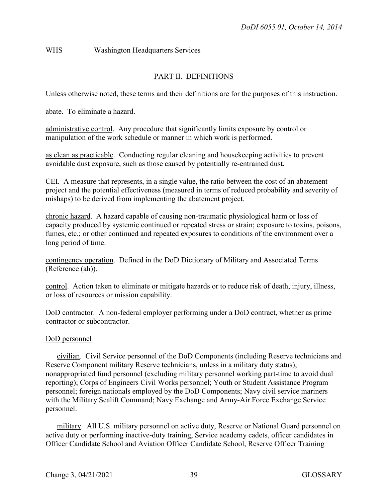# WHS Washington Headquarters Services

# PART II. DEFINITIONS

Unless otherwise noted, these terms and their definitions are for the purposes of this instruction.

abate. To eliminate a hazard.

administrative control. Any procedure that significantly limits exposure by control or manipulation of the work schedule or manner in which work is performed.

as clean as practicable. Conducting regular cleaning and housekeeping activities to prevent avoidable dust exposure, such as those caused by potentially re-entrained dust.

CEI. A measure that represents, in a single value, the ratio between the cost of an abatement project and the potential effectiveness (measured in terms of reduced probability and severity of mishaps) to be derived from implementing the abatement project.

chronic hazard. A hazard capable of causing non-traumatic physiological harm or loss of capacity produced by systemic continued or repeated stress or strain; exposure to toxins, poisons, fumes, etc.; or other continued and repeated exposures to conditions of the environment over a long period of time.

contingency operation. Defined in the DoD Dictionary of Military and Associated Terms (Reference (ah)).

control. Action taken to eliminate or mitigate hazards or to reduce risk of death, injury, illness, or loss of resources or mission capability.

DoD contractor. A non-federal employer performing under a DoD contract, whether as prime contractor or subcontractor.

#### DoD personnel

civilian. Civil Service personnel of the DoD Components (including Reserve technicians and Reserve Component military Reserve technicians, unless in a military duty status); nonappropriated fund personnel (excluding military personnel working part-time to avoid dual reporting); Corps of Engineers Civil Works personnel; Youth or Student Assistance Program personnel; foreign nationals employed by the DoD Components; Navy civil service mariners with the Military Sealift Command; Navy Exchange and Army-Air Force Exchange Service personnel.

military. All U.S. military personnel on active duty, Reserve or National Guard personnel on active duty or performing inactive-duty training, Service academy cadets, officer candidates in Officer Candidate School and Aviation Officer Candidate School, Reserve Officer Training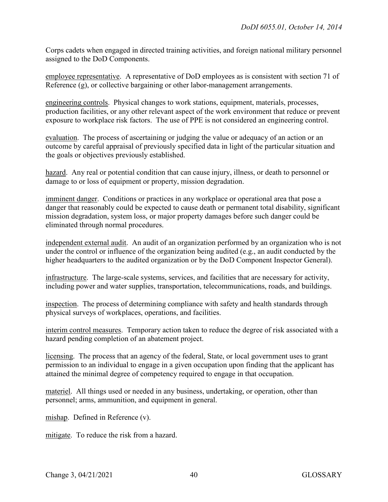Corps cadets when engaged in directed training activities, and foreign national military personnel assigned to the DoD Components.

employee representative. A representative of DoD employees as is consistent with section 71 of Reference (g), or collective bargaining or other labor-management arrangements.

engineering controls. Physical changes to work stations, equipment, materials, processes, production facilities, or any other relevant aspect of the work environment that reduce or prevent exposure to workplace risk factors. The use of PPE is not considered an engineering control.

evaluation. The process of ascertaining or judging the value or adequacy of an action or an outcome by careful appraisal of previously specified data in light of the particular situation and the goals or objectives previously established.

hazard. Any real or potential condition that can cause injury, illness, or death to personnel or damage to or loss of equipment or property, mission degradation.

imminent danger. Conditions or practices in any workplace or operational area that pose a danger that reasonably could be expected to cause death or permanent total disability, significant mission degradation, system loss, or major property damages before such danger could be eliminated through normal procedures.

independent external audit. An audit of an organization performed by an organization who is not under the control or influence of the organization being audited (e.g., an audit conducted by the higher headquarters to the audited organization or by the DoD Component Inspector General).

infrastructure. The large-scale systems, services, and facilities that are necessary for activity, including power and water supplies, transportation, telecommunications, roads, and buildings.

inspection. The process of determining compliance with safety and health standards through physical surveys of workplaces, operations, and facilities.

interim control measures. Temporary action taken to reduce the degree of risk associated with a hazard pending completion of an abatement project.

licensing. The process that an agency of the federal, State, or local government uses to grant permission to an individual to engage in a given occupation upon finding that the applicant has attained the minimal degree of competency required to engage in that occupation.

materiel. All things used or needed in any business, undertaking, or operation, other than personnel; arms, ammunition, and equipment in general.

mishap. Defined in Reference (v).

mitigate. To reduce the risk from a hazard.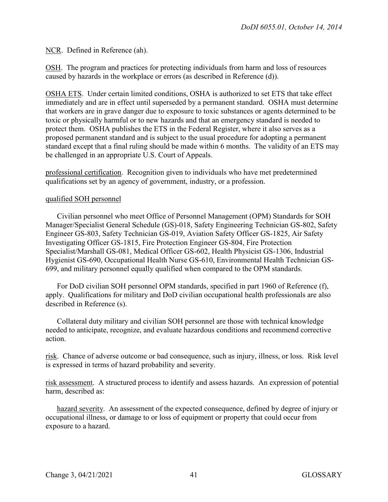NCR. Defined in Reference (ah).

OSH. The program and practices for protecting individuals from harm and loss of resources caused by hazards in the workplace or errors (as described in Reference (d)).

OSHA ETS. Under certain limited conditions, OSHA is authorized to set ETS that take effect immediately and are in effect until superseded by a permanent standard. OSHA must determine that workers are in grave danger due to exposure to toxic substances or agents determined to be toxic or physically harmful or to new hazards and that an emergency standard is needed to protect them. OSHA publishes the ETS in the Federal Register, where it also serves as a proposed permanent standard and is subject to the usual procedure for adopting a permanent standard except that a final ruling should be made within 6 months. The validity of an ETS may be challenged in an appropriate U.S. Court of Appeals.

professional certification. Recognition given to individuals who have met predetermined qualifications set by an agency of government, industry, or a profession.

#### qualified SOH personnel

Civilian personnel who meet Office of Personnel Management (OPM) Standards for SOH Manager/Specialist General Schedule (GS)-018, Safety Engineering Technician GS-802, Safety Engineer GS-803, Safety Technician GS-019, Aviation Safety Officer GS-1825, Air Safety Investigating Officer GS-1815, Fire Protection Engineer GS-804, Fire Protection Specialist/Marshall GS-081, Medical Officer GS-602, Health Physicist GS-1306, Industrial Hygienist GS-690, Occupational Health Nurse GS-610, Environmental Health Technician GS-699, and military personnel equally qualified when compared to the OPM standards.

For DoD civilian SOH personnel OPM standards, specified in part 1960 of Reference (f), apply. Qualifications for military and DoD civilian occupational health professionals are also described in Reference (s).

Collateral duty military and civilian SOH personnel are those with technical knowledge needed to anticipate, recognize, and evaluate hazardous conditions and recommend corrective action.

risk. Chance of adverse outcome or bad consequence, such as injury, illness, or loss. Risk level is expressed in terms of hazard probability and severity.

risk assessment. A structured process to identify and assess hazards. An expression of potential harm, described as:

hazard severity. An assessment of the expected consequence, defined by degree of injury or occupational illness, or damage to or loss of equipment or property that could occur from exposure to a hazard.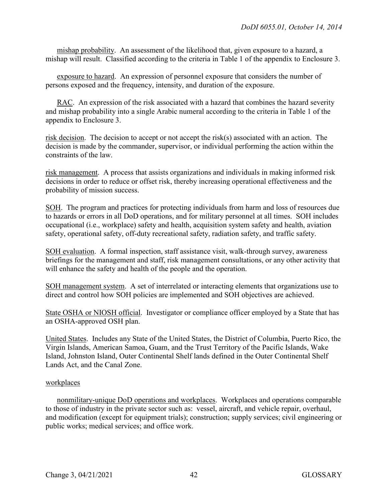mishap probability. An assessment of the likelihood that, given exposure to a hazard, a mishap will result. Classified according to the criteria in Table 1 of the appendix to Enclosure 3.

exposure to hazard. An expression of personnel exposure that considers the number of persons exposed and the frequency, intensity, and duration of the exposure.

RAC. An expression of the risk associated with a hazard that combines the hazard severity and mishap probability into a single Arabic numeral according to the criteria in Table 1 of the appendix to Enclosure 3.

risk decision. The decision to accept or not accept the risk(s) associated with an action. The decision is made by the commander, supervisor, or individual performing the action within the constraints of the law.

risk management. A process that assists organizations and individuals in making informed risk decisions in order to reduce or offset risk, thereby increasing operational effectiveness and the probability of mission success.

SOH. The program and practices for protecting individuals from harm and loss of resources due to hazards or errors in all DoD operations, and for military personnel at all times. SOH includes occupational (i.e., workplace) safety and health, acquisition system safety and health, aviation safety, operational safety, off-duty recreational safety, radiation safety, and traffic safety.

SOH evaluation. A formal inspection, staff assistance visit, walk-through survey, awareness briefings for the management and staff, risk management consultations, or any other activity that will enhance the safety and health of the people and the operation.

SOH management system. A set of interrelated or interacting elements that organizations use to direct and control how SOH policies are implemented and SOH objectives are achieved.

State OSHA or NIOSH official. Investigator or compliance officer employed by a State that has an OSHA-approved OSH plan.

United States. Includes any State of the United States, the District of Columbia, Puerto Rico, the Virgin Islands, American Samoa, Guam, and the Trust Territory of the Pacific Islands, Wake Island, Johnston Island, Outer Continental Shelf lands defined in the Outer Continental Shelf Lands Act, and the Canal Zone.

#### workplaces

nonmilitary-unique DoD operations and workplaces. Workplaces and operations comparable to those of industry in the private sector such as: vessel, aircraft, and vehicle repair, overhaul, and modification (except for equipment trials); construction; supply services; civil engineering or public works; medical services; and office work.